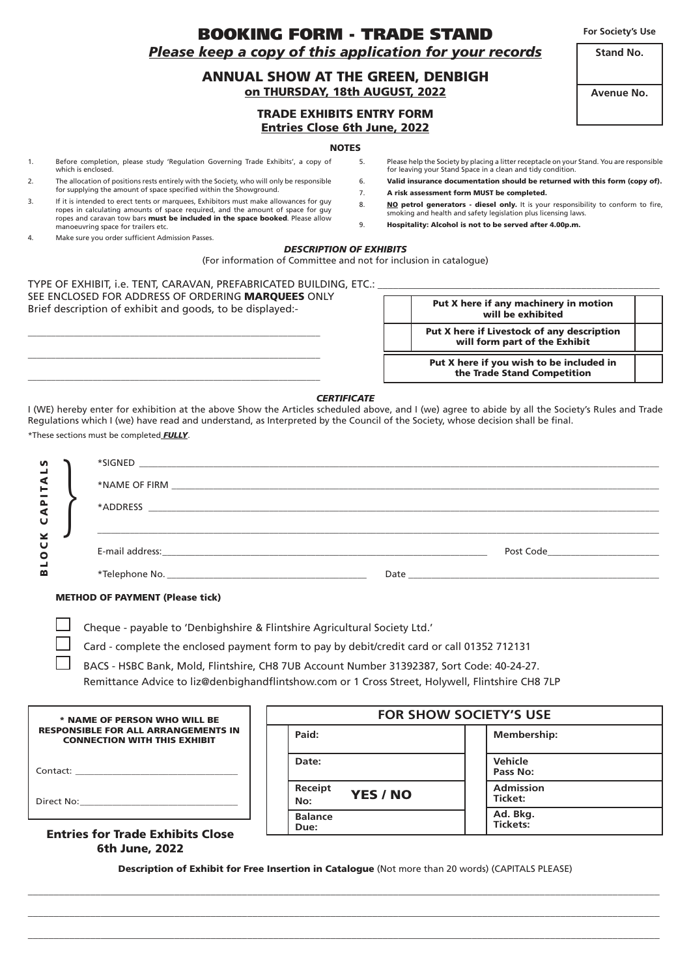BOOKING FORM - TRADE STAND *Please keep a copy of this application for your records*

# ANNUAL SHOW AT THE GREEN, DENBIGH on THURSDAY, 18th AUGUST, 2022

TRADE EXHIBITS ENTRY FORM Entries Close 6th June, 2022

#### **NOTES**

- 1. Before completion, please study 'Regulation Governing Trade Exhibits', a copy of which is enclosed.
- 2. The allocation of positions rests entirely with the Society, who will only be responsible for supplying the amount of space specified within the Showground.
- 3. If it is intended to erect tents or marquees, Exhibitors must make allowances for guy ropes in calculating amounts of space required, and the amount of space for guy ropes and caravan tow bars must be included in the space booked. Please allow manoeuvring space for trailers etc.
- 4. Make sure you order sufficient Admission Passes.
- 5. Please help the Society by placing a litter receptacle on your Stand. You are responsible for leaving your Stand Space in a clean and tidy condition.
- 6. Valid insurance documentation should be returned with this form (copy of). 7. A risk assessment form MUST be completed.
- 
- 8. NO petrol generators diesel only. It is your responsibility to conform to fire, smoking and health and safety legislation plus licensing laws.
- 9. Hospitality: Alcohol is not to be served after 4.00p.m.

## *DESCRIPTION OF EXHIBITS*

(For information of Committee and not for inclusion in catalogue)

TYPE OF EXHIBIT, i.e. TENT, CARAVAN, PREFABRICATED BUILDING, ETC.: SEE ENCLOSED FOR ADDRESS OF ORDERING MARQUEES ONLY Brief description of exhibit and goods, to be displayed:-

\_\_\_\_\_\_\_\_\_\_\_\_\_\_\_\_\_\_\_\_\_\_\_\_\_\_\_\_\_\_\_\_\_\_\_\_\_\_\_\_\_\_\_\_\_\_\_\_\_\_\_\_\_\_\_\_\_\_\_\_\_\_\_ \_\_\_\_\_\_\_\_\_\_\_\_\_\_\_\_\_\_\_\_\_\_\_\_\_\_\_\_\_\_\_\_\_\_\_\_\_\_\_\_\_\_\_\_\_\_\_\_\_\_\_\_\_\_\_\_\_\_\_\_\_\_\_ \_\_\_\_\_\_\_\_\_\_\_\_\_\_\_\_\_\_\_\_\_\_\_\_\_\_\_\_\_\_\_\_\_\_\_\_\_\_\_\_\_\_\_\_\_\_\_\_\_\_\_\_\_\_\_\_\_\_\_\_\_\_\_

| Put X here if any machinery in motion<br>will be exhibited                  |  |
|-----------------------------------------------------------------------------|--|
| Put X here if Livestock of any description<br>will form part of the Exhibit |  |
| Put X here if you wish to be included in<br>the Trade Stand Competition     |  |

### *CERTIFICATE*

I (WE) hereby enter for exhibition at the above Show the Articles scheduled above, and I (we) agree to abide by all the Society's Rules and Trade Regulations which I (we) have read and understand, as Interpreted by the Council of the Society, whose decision shall be final. \*These sections must be completed *FULLY*.

| S                       |                                        |                                                                                                                                                                                                                                |
|-------------------------|----------------------------------------|--------------------------------------------------------------------------------------------------------------------------------------------------------------------------------------------------------------------------------|
| ⋖<br>巨                  |                                        |                                                                                                                                                                                                                                |
| $\overline{\mathbf{a}}$ |                                        |                                                                                                                                                                                                                                |
| U                       |                                        |                                                                                                                                                                                                                                |
| ⊻<br>Ü<br>O             |                                        | Post Code_______________                                                                                                                                                                                                       |
| ≃                       |                                        | Date and the contract of the contract of the contract of the contract of the contract of the contract of the contract of the contract of the contract of the contract of the contract of the contract of the contract of the c |
|                         | <b>METHOD OF PAYMENT (Please tick)</b> |                                                                                                                                                                                                                                |

Cheque - payable to 'Denbighshire & Flintshire Agricultural Society Ltd.'

Card - complete the enclosed payment form to pay by debit/credit card or call 01352 712131

 BACS - HSBC Bank, Mold, Flintshire, CH8 7UB Account Number 31392387, Sort Code: 40-24-27. Remittance Advice to liz@denbighandflintshow.com or 1 Cross Street, Holywell, Flintshire CH8 7LP

| * NAME OF PERSON WHO WILL BE                                                      | <b>FOR SHOW SOCIETY'S USE</b>     |                             |  |
|-----------------------------------------------------------------------------------|-----------------------------------|-----------------------------|--|
| <b>RESPONSIBLE FOR ALL ARRANGEMENTS IN</b><br><b>CONNECTION WITH THIS EXHIBIT</b> | Paid:                             | <b>Membership:</b>          |  |
| Contact:                                                                          | Date:                             | <b>Vehicle</b><br>Pass No:  |  |
|                                                                                   | Receipt<br><b>YES / NO</b><br>No: | <b>Admission</b><br>Ticket: |  |
| <b>Entries for Trade Exhibits Close</b>                                           | <b>Balance</b><br>Due:            | Ad. Bkg.<br>Tickets:        |  |

## Entries for Trade Exhibits Close 6th June, 2022

Description of Exhibit for Free Insertion in Catalogue (Not more than 20 words) (CAPITALS PLEASE)  $\_$  , and the set of the set of the set of the set of the set of the set of the set of the set of the set of the set of the set of the set of the set of the set of the set of the set of the set of the set of the set of th

 $\_$  , and the set of the set of the set of the set of the set of the set of the set of the set of the set of the set of the set of the set of the set of the set of the set of the set of the set of the set of the set of th  $\_$  , and the set of the set of the set of the set of the set of the set of the set of the set of the set of the set of the set of the set of the set of the set of the set of the set of the set of the set of the set of th

**For Society's Use**

**Avenue No.**